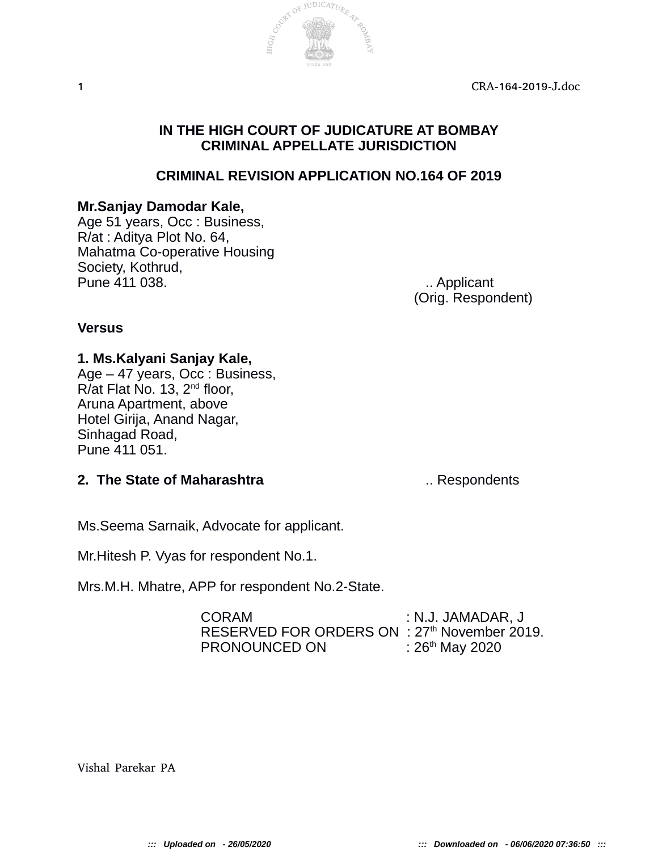

# **IN THE HIGH COURT OF JUDICATURE AT BOMBAY CRIMINAL APPELLATE JURISDICTION**

# **CRIMINAL REVISION APPLICATION NO.164 OF 2019**

### **Mr.Sanjay Damodar Kale,**

Age 51 years, Occ : Business, R/at : Aditya Plot No. 64, Mahatma Co-operative Housing Society, Kothrud, Pune 411 038. **Example 21 Observerse Contract Contract Automobile Contract Contract Contract Contract Contract Contract Contract Contract Contract Contract Contract Contract Contract Contract Contract Contract Contract Con** 

(Orig. Respondent)

### **Versus**

### **1. Ms.Kalyani Sanjay Kale,**

Age – 47 years, Occ : Business, R/at Flat No. 13, 2nd floor, Aruna Apartment, above Hotel Girija, Anand Nagar, Sinhagad Road, Pune 411 051.

### **2. The State of Maharashtra 12. The State of Maharashtra ...** Respondents

Ms.Seema Sarnaik, Advocate for applicant.

Mr.Hitesh P. Vyas for respondent No.1.

Mrs.M.H. Mhatre, APP for respondent No.2-State.

| <b>CORAM</b>                                             | : N.J. JAMADAR, J    |
|----------------------------------------------------------|----------------------|
| RESERVED FOR ORDERS ON : 27 <sup>th</sup> November 2019. |                      |
| <b>PRONOUNCED ON</b>                                     | : $26^{th}$ May 2020 |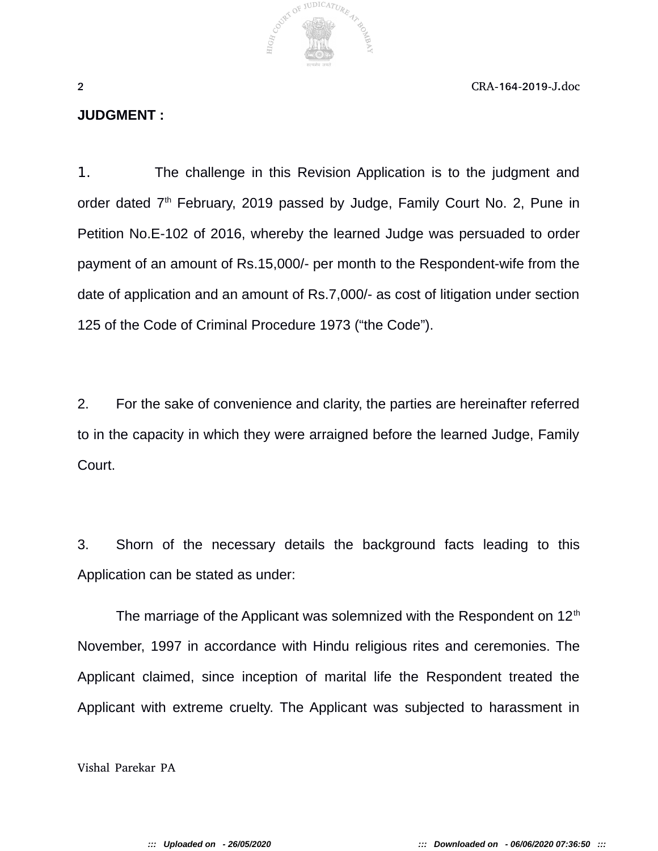

#### **JUDGMENT :**

1. The challenge in this Revision Application is to the judgment and order dated 7<sup>th</sup> February, 2019 passed by Judge, Family Court No. 2, Pune in Petition No.E-102 of 2016, whereby the learned Judge was persuaded to order payment of an amount of Rs.15,000/- per month to the Respondent-wife from the date of application and an amount of Rs.7,000/- as cost of litigation under section 125 of the Code of Criminal Procedure 1973 ("the Code").

2. For the sake of convenience and clarity, the parties are hereinafter referred to in the capacity in which they were arraigned before the learned Judge, Family Court.

3. Shorn of the necessary details the background facts leading to this Application can be stated as under:

The marriage of the Applicant was solemnized with the Respondent on  $12<sup>th</sup>$ November, 1997 in accordance with Hindu religious rites and ceremonies. The Applicant claimed, since inception of marital life the Respondent treated the Applicant with extreme cruelty. The Applicant was subjected to harassment in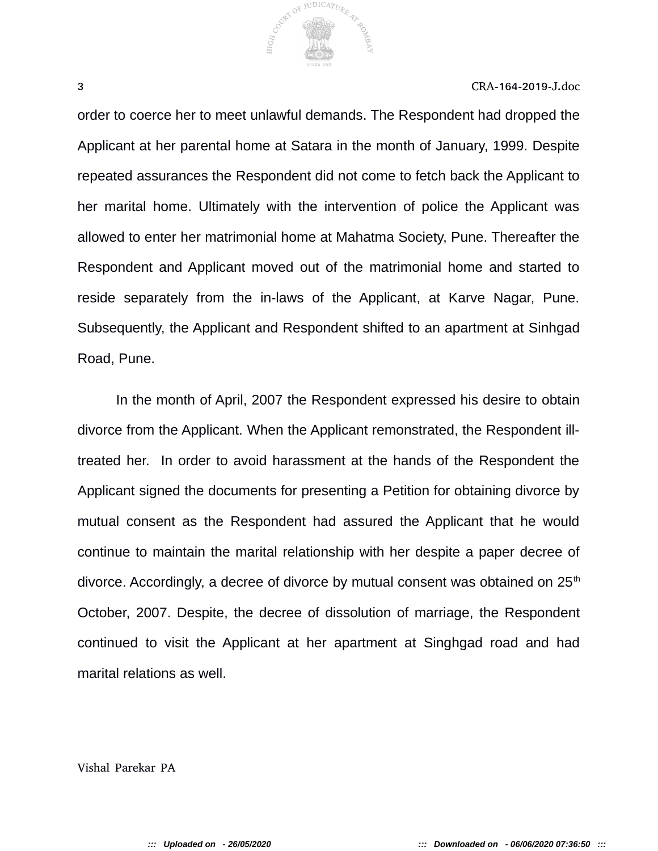

order to coerce her to meet unlawful demands. The Respondent had dropped the Applicant at her parental home at Satara in the month of January, 1999. Despite repeated assurances the Respondent did not come to fetch back the Applicant to her marital home. Ultimately with the intervention of police the Applicant was allowed to enter her matrimonial home at Mahatma Society, Pune. Thereafter the Respondent and Applicant moved out of the matrimonial home and started to reside separately from the in-laws of the Applicant, at Karve Nagar, Pune. Subsequently, the Applicant and Respondent shifted to an apartment at Sinhgad Road, Pune.

In the month of April, 2007 the Respondent expressed his desire to obtain divorce from the Applicant. When the Applicant remonstrated, the Respondent illtreated her. In order to avoid harassment at the hands of the Respondent the Applicant signed the documents for presenting a Petition for obtaining divorce by mutual consent as the Respondent had assured the Applicant that he would continue to maintain the marital relationship with her despite a paper decree of divorce. Accordingly, a decree of divorce by mutual consent was obtained on  $25<sup>th</sup>$ October, 2007. Despite, the decree of dissolution of marriage, the Respondent continued to visit the Applicant at her apartment at Singhgad road and had marital relations as well.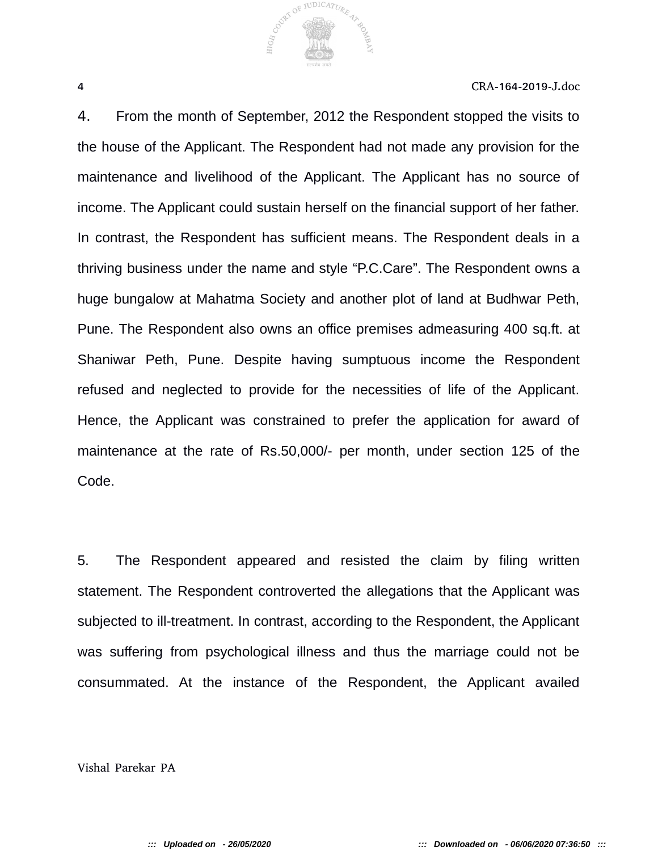4. From the month of September, 2012 the Respondent stopped the visits to the house of the Applicant. The Respondent had not made any provision for the maintenance and livelihood of the Applicant. The Applicant has no source of income. The Applicant could sustain herself on the financial support of her father. In contrast, the Respondent has sufficient means. The Respondent deals in a thriving business under the name and style "P.C.Care". The Respondent owns a huge bungalow at Mahatma Society and another plot of land at Budhwar Peth, Pune. The Respondent also owns an office premises admeasuring 400 sq.ft. at Shaniwar Peth, Pune. Despite having sumptuous income the Respondent refused and neglected to provide for the necessities of life of the Applicant. Hence, the Applicant was constrained to prefer the application for award of maintenance at the rate of Rs.50,000/- per month, under section 125 of the Code.

COUNTY OF JUDICATURE 47

5. The Respondent appeared and resisted the claim by filing written statement. The Respondent controverted the allegations that the Applicant was subjected to ill-treatment. In contrast, according to the Respondent, the Applicant was suffering from psychological illness and thus the marriage could not be consummated. At the instance of the Respondent, the Applicant availed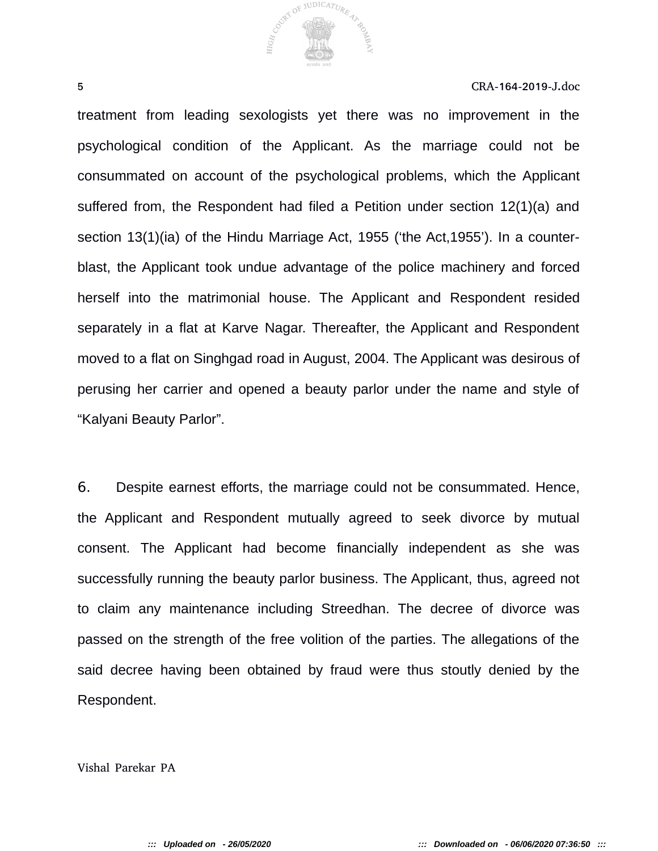

treatment from leading sexologists yet there was no improvement in the psychological condition of the Applicant. As the marriage could not be consummated on account of the psychological problems, which the Applicant suffered from, the Respondent had filed a Petition under section 12(1)(a) and section 13(1)(ia) of the Hindu Marriage Act, 1955 ('the Act,1955'). In a counterblast, the Applicant took undue advantage of the police machinery and forced herself into the matrimonial house. The Applicant and Respondent resided separately in a flat at Karve Nagar. Thereafter, the Applicant and Respondent moved to a flat on Singhgad road in August, 2004. The Applicant was desirous of perusing her carrier and opened a beauty parlor under the name and style of "Kalyani Beauty Parlor".

6. Despite earnest efforts, the marriage could not be consummated. Hence, the Applicant and Respondent mutually agreed to seek divorce by mutual consent. The Applicant had become financially independent as she was successfully running the beauty parlor business. The Applicant, thus, agreed not to claim any maintenance including Streedhan. The decree of divorce was passed on the strength of the free volition of the parties. The allegations of the said decree having been obtained by fraud were thus stoutly denied by the Respondent.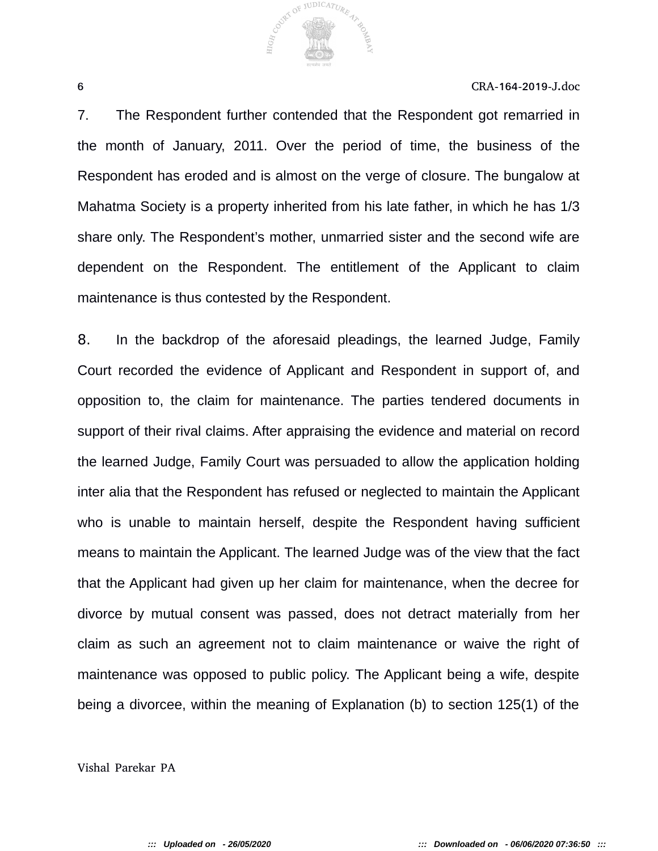COUNTY OF JUDICATURE 47

6 CRA-164-2019-J.doc

7. The Respondent further contended that the Respondent got remarried in the month of January, 2011. Over the period of time, the business of the Respondent has eroded and is almost on the verge of closure. The bungalow at Mahatma Society is a property inherited from his late father, in which he has 1/3 share only. The Respondent's mother, unmarried sister and the second wife are dependent on the Respondent. The entitlement of the Applicant to claim maintenance is thus contested by the Respondent.

8. In the backdrop of the aforesaid pleadings, the learned Judge, Family Court recorded the evidence of Applicant and Respondent in support of, and opposition to, the claim for maintenance. The parties tendered documents in support of their rival claims. After appraising the evidence and material on record the learned Judge, Family Court was persuaded to allow the application holding inter alia that the Respondent has refused or neglected to maintain the Applicant who is unable to maintain herself, despite the Respondent having sufficient means to maintain the Applicant. The learned Judge was of the view that the fact that the Applicant had given up her claim for maintenance, when the decree for divorce by mutual consent was passed, does not detract materially from her claim as such an agreement not to claim maintenance or waive the right of maintenance was opposed to public policy. The Applicant being a wife, despite being a divorcee, within the meaning of Explanation (b) to section 125(1) of the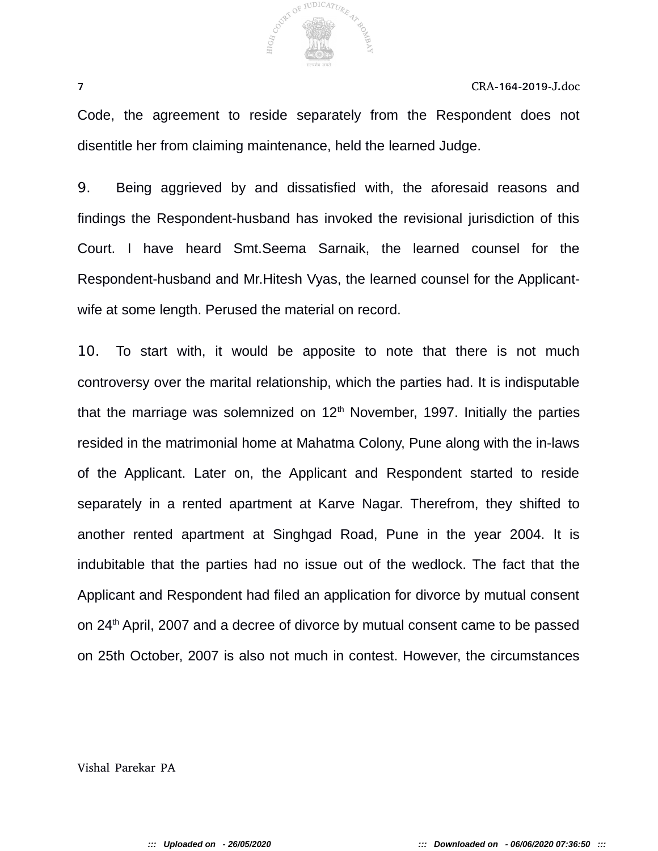

Code, the agreement to reside separately from the Respondent does not disentitle her from claiming maintenance, held the learned Judge.

9. Being aggrieved by and dissatisfied with, the aforesaid reasons and findings the Respondent-husband has invoked the revisional jurisdiction of this Court. I have heard Smt.Seema Sarnaik, the learned counsel for the Respondent-husband and Mr.Hitesh Vyas, the learned counsel for the Applicantwife at some length. Perused the material on record.

10. To start with, it would be apposite to note that there is not much controversy over the marital relationship, which the parties had. It is indisputable that the marriage was solemnized on  $12<sup>th</sup>$  November, 1997. Initially the parties resided in the matrimonial home at Mahatma Colony, Pune along with the in-laws of the Applicant. Later on, the Applicant and Respondent started to reside separately in a rented apartment at Karve Nagar. Therefrom, they shifted to another rented apartment at Singhgad Road, Pune in the year 2004. It is indubitable that the parties had no issue out of the wedlock. The fact that the Applicant and Respondent had filed an application for divorce by mutual consent on 24<sup>th</sup> April, 2007 and a decree of divorce by mutual consent came to be passed on 25th October, 2007 is also not much in contest. However, the circumstances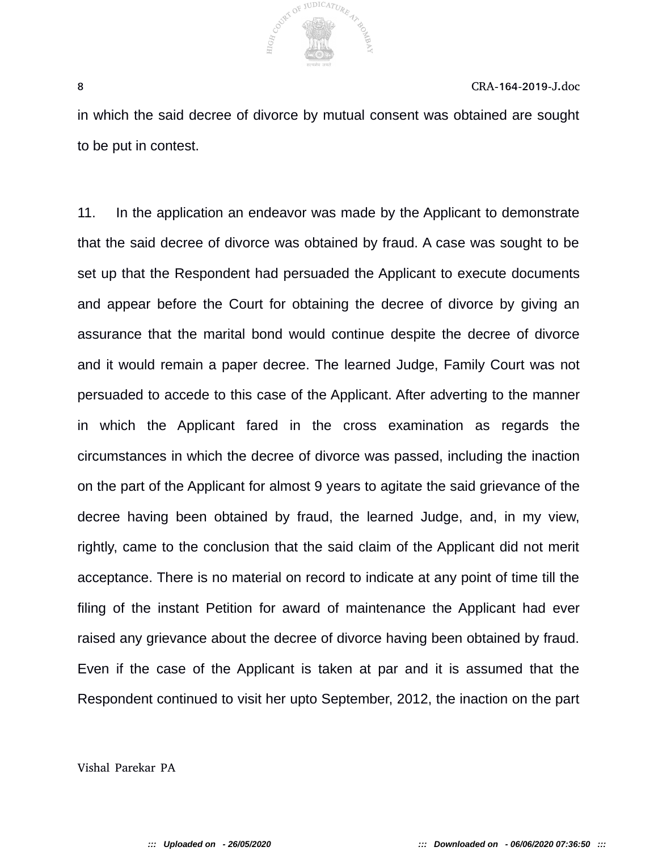

in which the said decree of divorce by mutual consent was obtained are sought to be put in contest.

11. In the application an endeavor was made by the Applicant to demonstrate that the said decree of divorce was obtained by fraud. A case was sought to be set up that the Respondent had persuaded the Applicant to execute documents and appear before the Court for obtaining the decree of divorce by giving an assurance that the marital bond would continue despite the decree of divorce and it would remain a paper decree. The learned Judge, Family Court was not persuaded to accede to this case of the Applicant. After adverting to the manner in which the Applicant fared in the cross examination as regards the circumstances in which the decree of divorce was passed, including the inaction on the part of the Applicant for almost 9 years to agitate the said grievance of the decree having been obtained by fraud, the learned Judge, and, in my view, rightly, came to the conclusion that the said claim of the Applicant did not merit acceptance. There is no material on record to indicate at any point of time till the filing of the instant Petition for award of maintenance the Applicant had ever raised any grievance about the decree of divorce having been obtained by fraud. Even if the case of the Applicant is taken at par and it is assumed that the Respondent continued to visit her upto September, 2012, the inaction on the part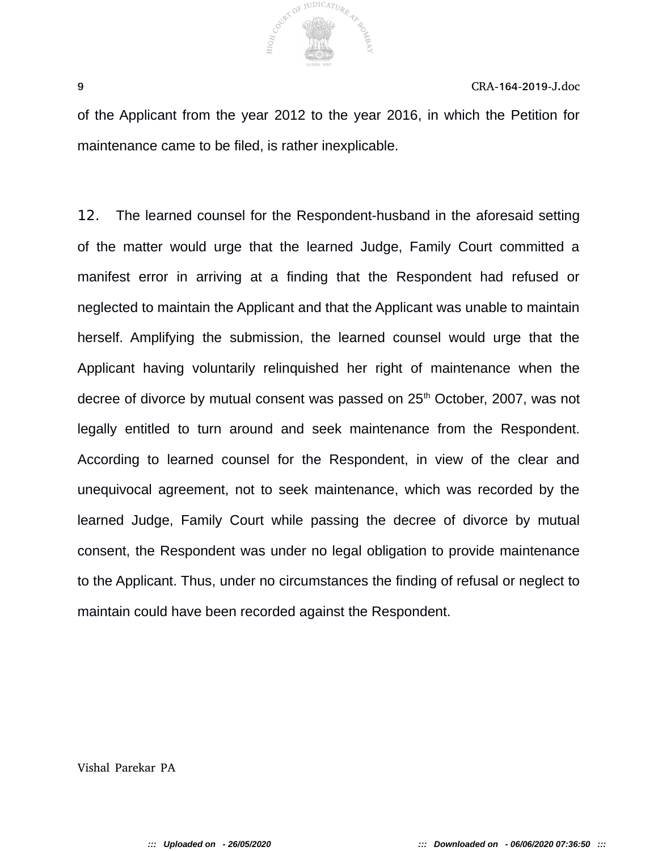

of the Applicant from the year 2012 to the year 2016, in which the Petition for maintenance came to be filed, is rather inexplicable.

12. The learned counsel for the Respondent-husband in the aforesaid setting of the matter would urge that the learned Judge, Family Court committed a manifest error in arriving at a finding that the Respondent had refused or neglected to maintain the Applicant and that the Applicant was unable to maintain herself. Amplifying the submission, the learned counsel would urge that the Applicant having voluntarily relinquished her right of maintenance when the decree of divorce by mutual consent was passed on 25<sup>th</sup> October, 2007, was not legally entitled to turn around and seek maintenance from the Respondent. According to learned counsel for the Respondent, in view of the clear and unequivocal agreement, not to seek maintenance, which was recorded by the learned Judge, Family Court while passing the decree of divorce by mutual consent, the Respondent was under no legal obligation to provide maintenance to the Applicant. Thus, under no circumstances the finding of refusal or neglect to maintain could have been recorded against the Respondent.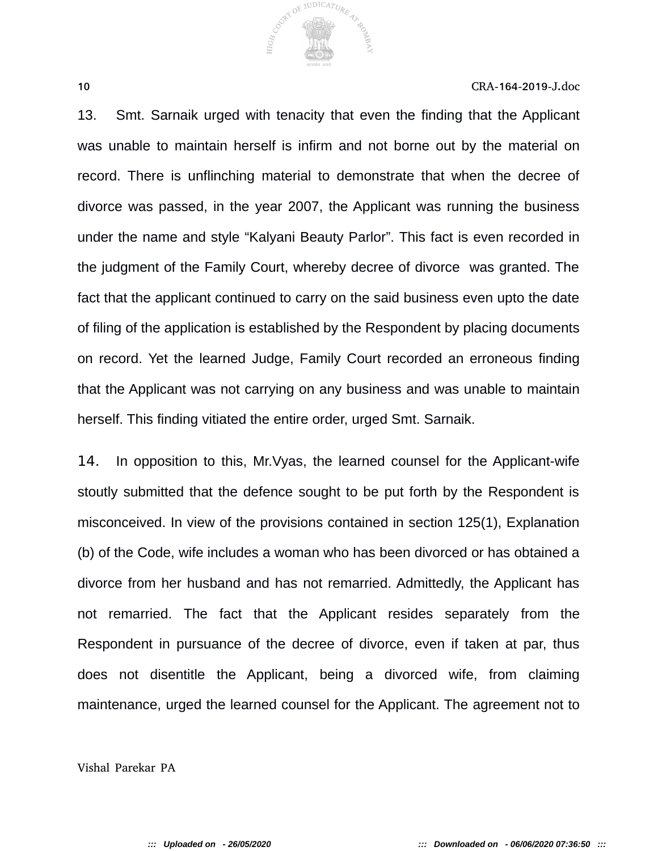

13. Smt. Sarnaik urged with tenacity that even the finding that the Applicant was unable to maintain herself is infirm and not borne out by the material on record. There is unflinching material to demonstrate that when the decree of divorce was passed, in the year 2007, the Applicant was running the business under the name and style "Kalyani Beauty Parlor". This fact is even recorded in the judgment of the Family Court, whereby decree of divorce was granted. The fact that the applicant continued to carry on the said business even upto the date of filing of the application is established by the Respondent by placing documents on record. Yet the learned Judge, Family Court recorded an erroneous finding that the Applicant was not carrying on any business and was unable to maintain herself. This finding vitiated the entire order, urged Smt. Sarnaik.

14. In opposition to this, Mr.Vyas, the learned counsel for the Applicant-wife stoutly submitted that the defence sought to be put forth by the Respondent is misconceived. In view of the provisions contained in section 125(1), Explanation (b) of the Code, wife includes a woman who has been divorced or has obtained a divorce from her husband and has not remarried. Admittedly, the Applicant has not remarried. The fact that the Applicant resides separately from the Respondent in pursuance of the decree of divorce, even if taken at par, thus does not disentitle the Applicant, being a divorced wife, from claiming maintenance, urged the learned counsel for the Applicant. The agreement not to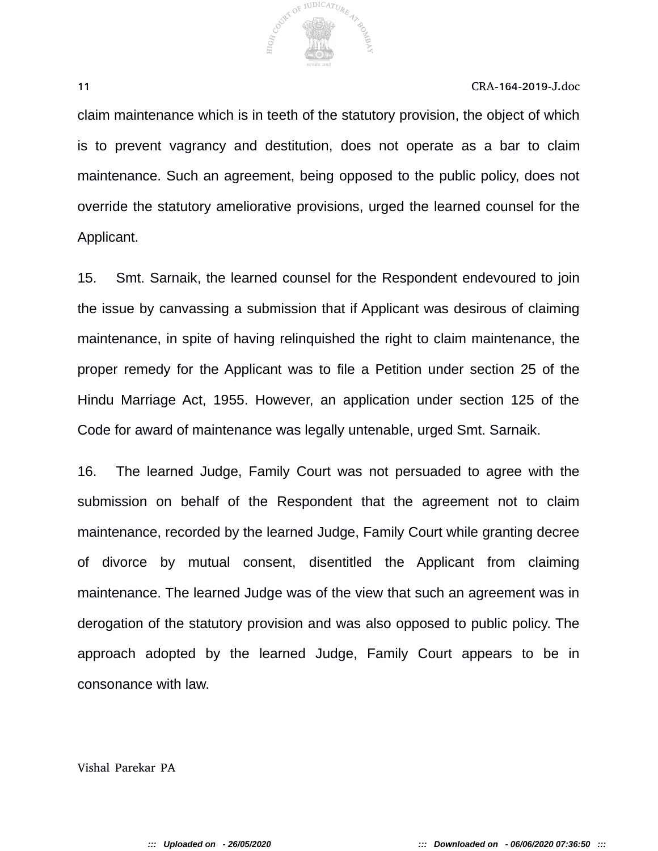

claim maintenance which is in teeth of the statutory provision, the object of which is to prevent vagrancy and destitution, does not operate as a bar to claim maintenance. Such an agreement, being opposed to the public policy, does not override the statutory ameliorative provisions, urged the learned counsel for the Applicant.

15. Smt. Sarnaik, the learned counsel for the Respondent endevoured to join the issue by canvassing a submission that if Applicant was desirous of claiming maintenance, in spite of having relinquished the right to claim maintenance, the proper remedy for the Applicant was to file a Petition under section 25 of the Hindu Marriage Act, 1955. However, an application under section 125 of the Code for award of maintenance was legally untenable, urged Smt. Sarnaik.

16. The learned Judge, Family Court was not persuaded to agree with the submission on behalf of the Respondent that the agreement not to claim maintenance, recorded by the learned Judge, Family Court while granting decree of divorce by mutual consent, disentitled the Applicant from claiming maintenance. The learned Judge was of the view that such an agreement was in derogation of the statutory provision and was also opposed to public policy. The approach adopted by the learned Judge, Family Court appears to be in consonance with law.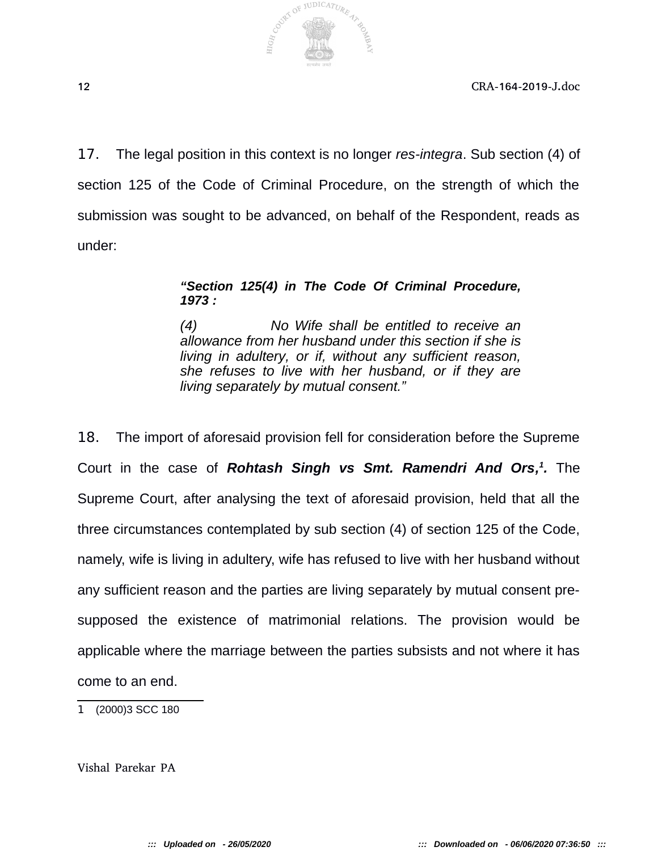

17. The legal position in this context is no longer *res-integra*. Sub section (4) of section 125 of the Code of Criminal Procedure, on the strength of which the submission was sought to be advanced, on behalf of the Respondent, reads as under:

#### *"Section 125(4) in The Code Of Criminal Procedure, 1973 :*

*(4) No Wife shall be entitled to receive an allowance from her husband under this section if she is living in adultery, or if, without any sufficient reason, she refuses to live with her husband, or if they are living separately by mutual consent."*

18. The import of aforesaid provision fell for consideration before the Supreme Court in the case of Rohtash Singh vs Smt. Ramendri And Ors,<sup>1</sup>. The Supreme Court, after analysing the text of aforesaid provision, held that all the three circumstances contemplated by sub section (4) of section 125 of the Code, namely, wife is living in adultery, wife has refused to live with her husband without any sufficient reason and the parties are living separately by mutual consent presupposed the existence of matrimonial relations. The provision would be applicable where the marriage between the parties subsists and not where it has come to an end.

1 (2000)3 SCC 180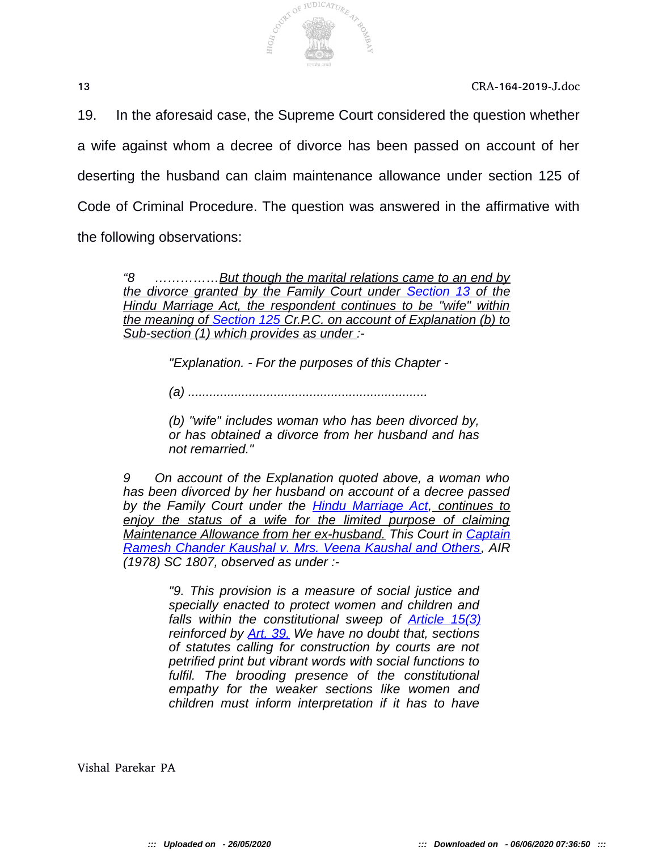

19. In the aforesaid case, the Supreme Court considered the question whether a wife against whom a decree of divorce has been passed on account of her deserting the husband can claim maintenance allowance under section 125 of Code of Criminal Procedure. The question was answered in the affirmative with the following observations:

*"8 ……………But though the marital relations came to an end by the divorce granted by the Family Court under Section 13 of the Hindu Marriage Act, the respondent continues to be "wife" within the meaning of Section 125 Cr.P.C. on account of Explanation (b) to Sub-section (1) which provides as under :-* 

*"Explanation. - For the purposes of this Chapter -* 

*(a) ...................................................................* 

*(b) "wife" includes woman who has been divorced by, or has obtained a divorce from her husband and has not remarried."* 

*9 On account of the Explanation quoted above, a woman who has been divorced by her husband on account of a decree passed by the Family Court under the Hindu Marriage Act, continues to enjoy the status of a wife for the limited purpose of claiming Maintenance Allowance from her ex-husband. This Court in Captain Ramesh Chander Kaushal v. Mrs. Veena Kaushal and Others, AIR (1978) SC 1807, observed as under :-* 

> *"9. This provision is a measure of social justice and specially enacted to protect women and children and falls within the constitutional sweep of Article 15(3) reinforced by Art. 39. We have no doubt that, sections of statutes calling for construction by courts are not petrified print but vibrant words with social functions to fulfil. The brooding presence of the constitutional empathy for the weaker sections like women and children must inform interpretation if it has to have*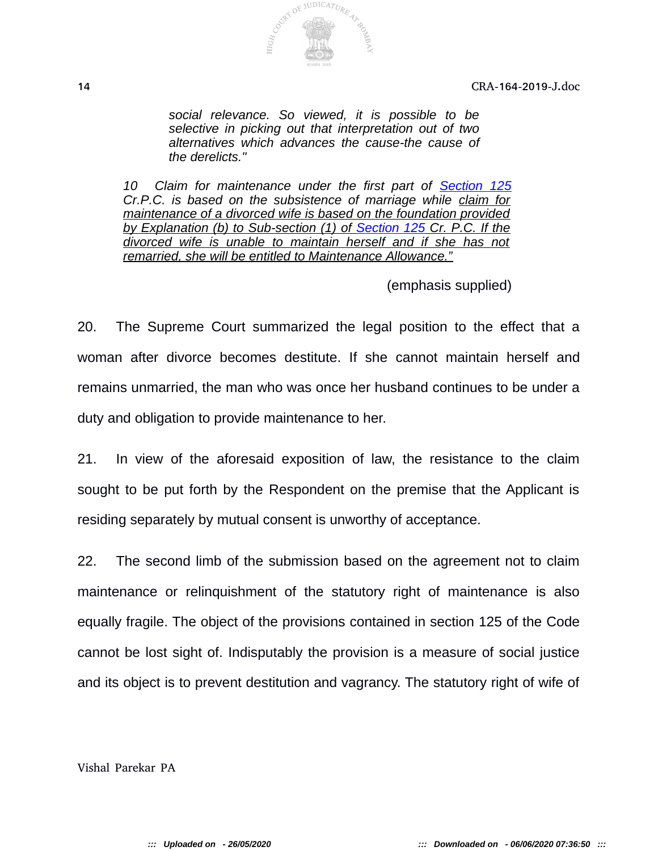

*social relevance. So viewed, it is possible to be selective in picking out that interpretation out of two alternatives which advances the cause-the cause of the derelicts."* 

*10 Claim for maintenance under the first part of Section 125 Cr.P.C. is based on the subsistence of marriage while claim for maintenance of a divorced wife is based on the foundation provided by Explanation (b) to Sub-section (1) of Section 125 Cr. P.C. If the divorced wife is unable to maintain herself and if she has not remarried, she will be entitled to Maintenance Allowance."*

(emphasis supplied)

20. The Supreme Court summarized the legal position to the effect that a woman after divorce becomes destitute. If she cannot maintain herself and remains unmarried, the man who was once her husband continues to be under a duty and obligation to provide maintenance to her.

21. In view of the aforesaid exposition of law, the resistance to the claim sought to be put forth by the Respondent on the premise that the Applicant is residing separately by mutual consent is unworthy of acceptance.

22. The second limb of the submission based on the agreement not to claim maintenance or relinquishment of the statutory right of maintenance is also equally fragile. The object of the provisions contained in section 125 of the Code cannot be lost sight of. Indisputably the provision is a measure of social justice and its object is to prevent destitution and vagrancy. The statutory right of wife of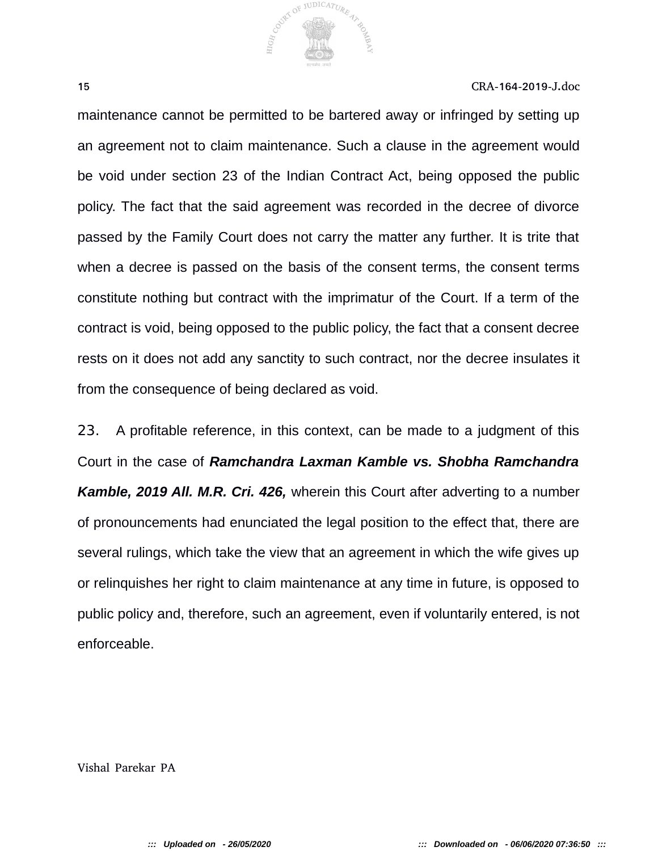

maintenance cannot be permitted to be bartered away or infringed by setting up an agreement not to claim maintenance. Such a clause in the agreement would be void under section 23 of the Indian Contract Act, being opposed the public policy. The fact that the said agreement was recorded in the decree of divorce passed by the Family Court does not carry the matter any further. It is trite that when a decree is passed on the basis of the consent terms, the consent terms constitute nothing but contract with the imprimatur of the Court. If a term of the contract is void, being opposed to the public policy, the fact that a consent decree rests on it does not add any sanctity to such contract, nor the decree insulates it from the consequence of being declared as void.

23. A profitable reference, in this context, can be made to a judgment of this Court in the case of *Ramchandra Laxman Kamble vs. Shobha Ramchandra Kamble, 2019 All. M.R. Cri. 426,* wherein this Court after adverting to a number of pronouncements had enunciated the legal position to the effect that, there are several rulings, which take the view that an agreement in which the wife gives up or relinquishes her right to claim maintenance at any time in future, is opposed to public policy and, therefore, such an agreement, even if voluntarily entered, is not enforceable.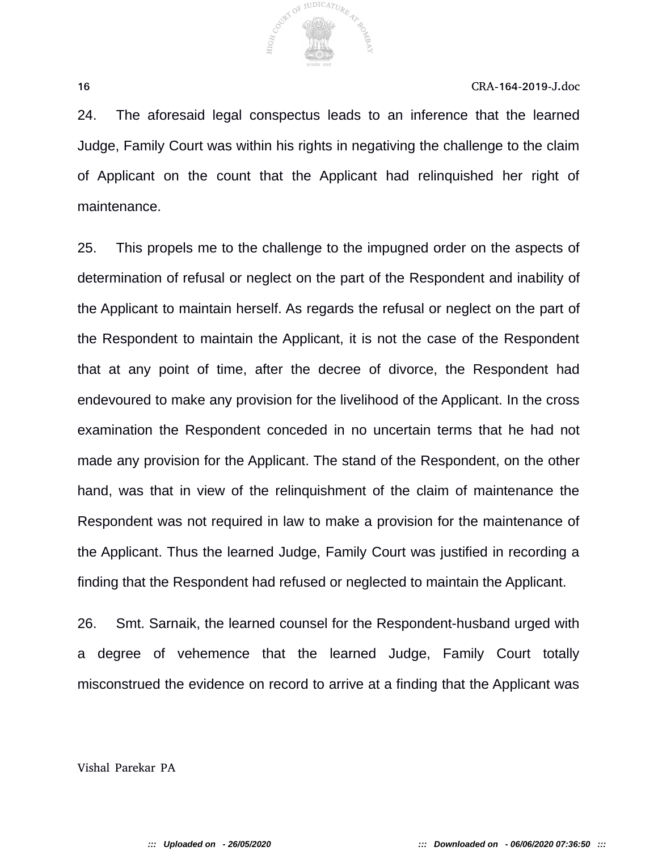

24. The aforesaid legal conspectus leads to an inference that the learned Judge, Family Court was within his rights in negativing the challenge to the claim of Applicant on the count that the Applicant had relinquished her right of maintenance.

25. This propels me to the challenge to the impugned order on the aspects of determination of refusal or neglect on the part of the Respondent and inability of the Applicant to maintain herself. As regards the refusal or neglect on the part of the Respondent to maintain the Applicant, it is not the case of the Respondent that at any point of time, after the decree of divorce, the Respondent had endevoured to make any provision for the livelihood of the Applicant. In the cross examination the Respondent conceded in no uncertain terms that he had not made any provision for the Applicant. The stand of the Respondent, on the other hand, was that in view of the relinquishment of the claim of maintenance the Respondent was not required in law to make a provision for the maintenance of the Applicant. Thus the learned Judge, Family Court was justified in recording a finding that the Respondent had refused or neglected to maintain the Applicant.

26. Smt. Sarnaik, the learned counsel for the Respondent-husband urged with a degree of vehemence that the learned Judge, Family Court totally misconstrued the evidence on record to arrive at a finding that the Applicant was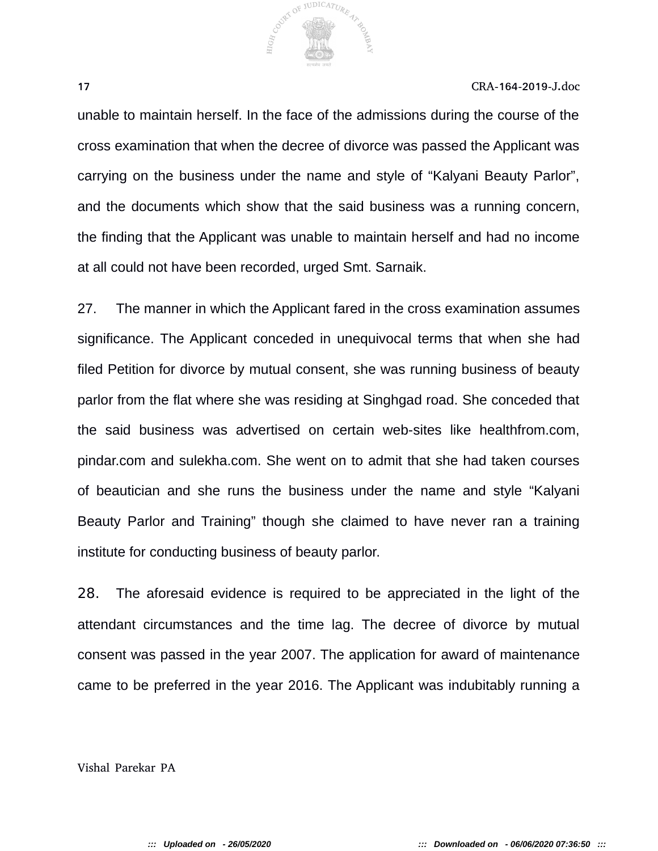

unable to maintain herself. In the face of the admissions during the course of the cross examination that when the decree of divorce was passed the Applicant was carrying on the business under the name and style of "Kalyani Beauty Parlor", and the documents which show that the said business was a running concern, the finding that the Applicant was unable to maintain herself and had no income at all could not have been recorded, urged Smt. Sarnaik.

27. The manner in which the Applicant fared in the cross examination assumes significance. The Applicant conceded in unequivocal terms that when she had filed Petition for divorce by mutual consent, she was running business of beauty parlor from the flat where she was residing at Singhgad road. She conceded that the said business was advertised on certain web-sites like healthfrom.com, pindar.com and sulekha.com. She went on to admit that she had taken courses of beautician and she runs the business under the name and style "Kalyani Beauty Parlor and Training" though she claimed to have never ran a training institute for conducting business of beauty parlor.

28. The aforesaid evidence is required to be appreciated in the light of the attendant circumstances and the time lag. The decree of divorce by mutual consent was passed in the year 2007. The application for award of maintenance came to be preferred in the year 2016. The Applicant was indubitably running a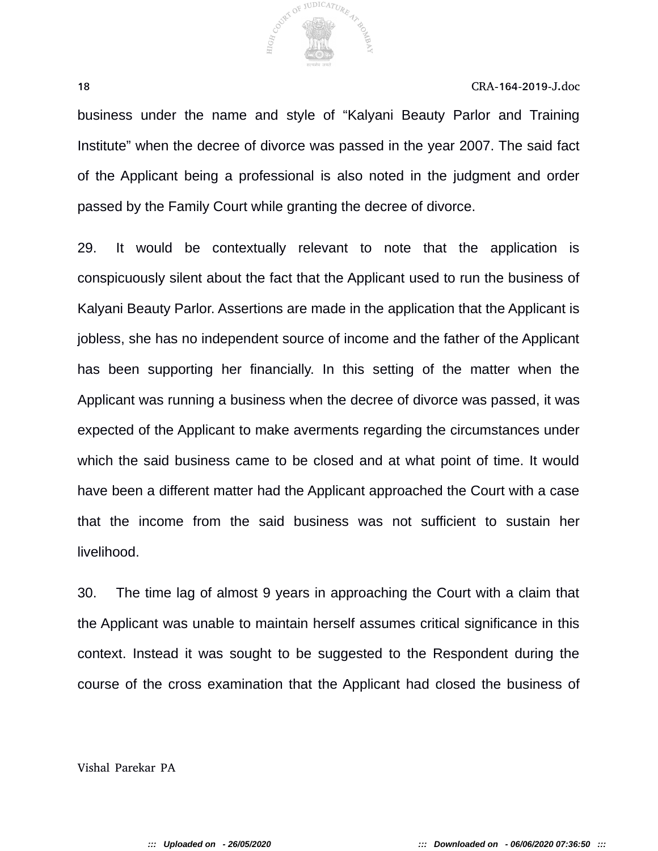

business under the name and style of "Kalyani Beauty Parlor and Training Institute" when the decree of divorce was passed in the year 2007. The said fact of the Applicant being a professional is also noted in the judgment and order passed by the Family Court while granting the decree of divorce.

29. It would be contextually relevant to note that the application is conspicuously silent about the fact that the Applicant used to run the business of Kalyani Beauty Parlor. Assertions are made in the application that the Applicant is jobless, she has no independent source of income and the father of the Applicant has been supporting her financially. In this setting of the matter when the Applicant was running a business when the decree of divorce was passed, it was expected of the Applicant to make averments regarding the circumstances under which the said business came to be closed and at what point of time. It would have been a different matter had the Applicant approached the Court with a case that the income from the said business was not sufficient to sustain her livelihood.

30. The time lag of almost 9 years in approaching the Court with a claim that the Applicant was unable to maintain herself assumes critical significance in this context. Instead it was sought to be suggested to the Respondent during the course of the cross examination that the Applicant had closed the business of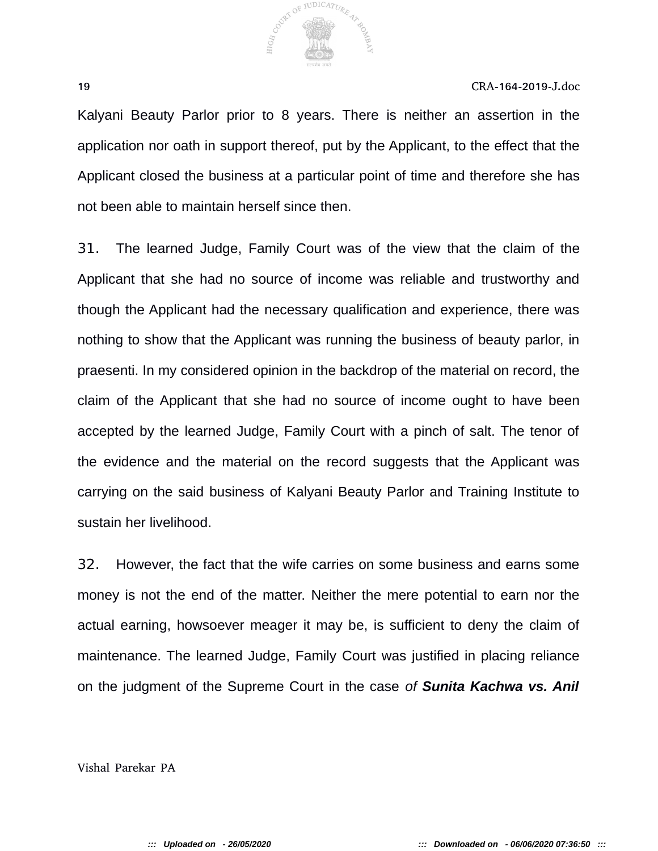

Kalyani Beauty Parlor prior to 8 years. There is neither an assertion in the application nor oath in support thereof, put by the Applicant, to the effect that the Applicant closed the business at a particular point of time and therefore she has not been able to maintain herself since then.

31. The learned Judge, Family Court was of the view that the claim of the Applicant that she had no source of income was reliable and trustworthy and though the Applicant had the necessary qualification and experience, there was nothing to show that the Applicant was running the business of beauty parlor, in praesenti. In my considered opinion in the backdrop of the material on record, the claim of the Applicant that she had no source of income ought to have been accepted by the learned Judge, Family Court with a pinch of salt. The tenor of the evidence and the material on the record suggests that the Applicant was carrying on the said business of Kalyani Beauty Parlor and Training Institute to sustain her livelihood.

32. However, the fact that the wife carries on some business and earns some money is not the end of the matter. Neither the mere potential to earn nor the actual earning, howsoever meager it may be, is sufficient to deny the claim of maintenance. The learned Judge, Family Court was justified in placing reliance on the judgment of the Supreme Court in the case *of Sunita Kachwa vs. Anil*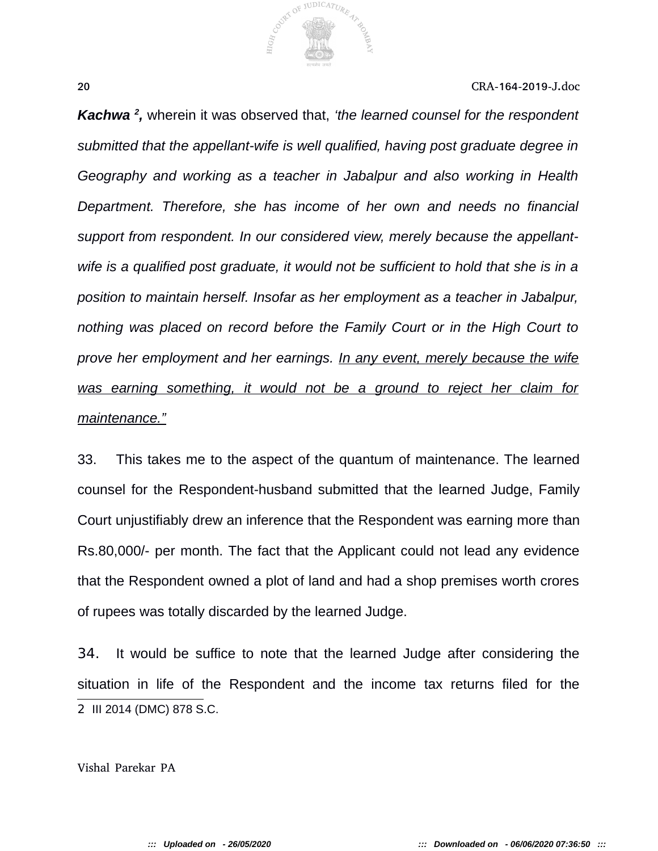

*Kachwa<sup>2</sup>, wherein it was observed that, 'the learned counsel for the respondent submitted that the appellant-wife is well qualified, having post graduate degree in Geography and working as a teacher in Jabalpur and also working in Health Department. Therefore, she has income of her own and needs no financial support from respondent. In our considered view, merely because the appellantwife is a qualified post graduate, it would not be sufficient to hold that she is in a position to maintain herself. Insofar as her employment as a teacher in Jabalpur, nothing was placed on record before the Family Court or in the High Court to prove her employment and her earnings. In any event, merely because the wife was earning something, it would not be a ground to reject her claim for maintenance."*

33. This takes me to the aspect of the quantum of maintenance. The learned counsel for the Respondent-husband submitted that the learned Judge, Family Court unjustifiably drew an inference that the Respondent was earning more than Rs.80,000/- per month. The fact that the Applicant could not lead any evidence that the Respondent owned a plot of land and had a shop premises worth crores of rupees was totally discarded by the learned Judge.

34. It would be suffice to note that the learned Judge after considering the situation in life of the Respondent and the income tax returns filed for the 2 III 2014 (DMC) 878 S.C.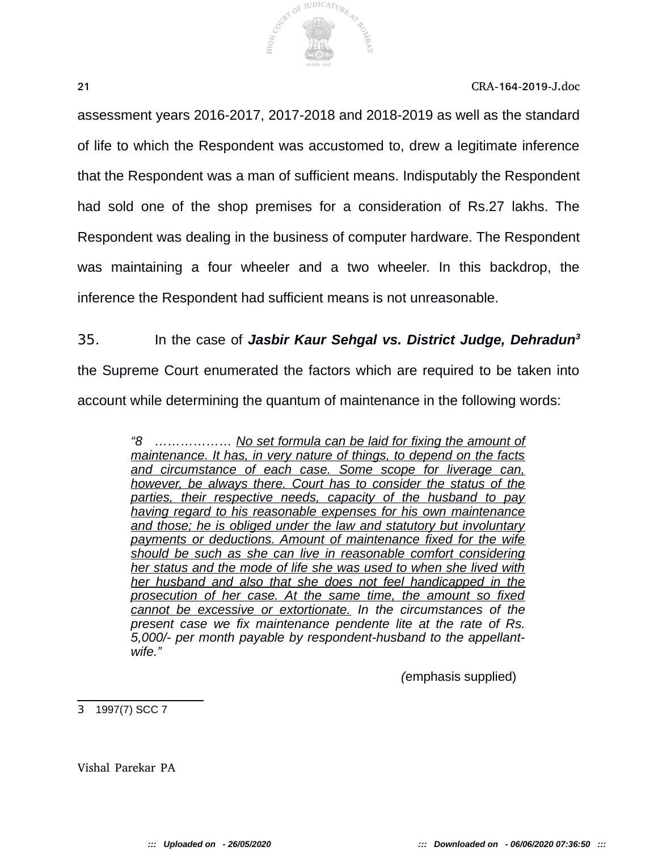

assessment years 2016-2017, 2017-2018 and 2018-2019 as well as the standard of life to which the Respondent was accustomed to, drew a legitimate inference that the Respondent was a man of sufficient means. Indisputably the Respondent had sold one of the shop premises for a consideration of Rs.27 lakhs. The Respondent was dealing in the business of computer hardware. The Respondent was maintaining a four wheeler and a two wheeler. In this backdrop, the inference the Respondent had sufficient means is not unreasonable.

# 35. In the case of *Jasbir Kaur Sehgal vs. District Judge, Dehradun<sup>3</sup>*

the Supreme Court enumerated the factors which are required to be taken into account while determining the quantum of maintenance in the following words:

> *"8 ……………… No set formula can be laid for fixing the amount of maintenance. It has, in very nature of things, to depend on the facts and circumstance of each case. Some scope for liverage can, however, be always there. Court has to consider the status of the parties, their respective needs, capacity of the husband to pay having regard to his reasonable expenses for his own maintenance and those; he is obliged under the law and statutory but involuntary payments or deductions. Amount of maintenance fixed for the wife should be such as she can live in reasonable comfort considering her status and the mode of life she was used to when she lived with her husband and also that she does not feel handicapped in the prosecution of her case. At the same time, the amount so fixed cannot be excessive or extortionate. In the circumstances of the present case we fix maintenance pendente lite at the rate of Rs. 5,000/- per month payable by respondent-husband to the appellantwife."*

> > *(*emphasis supplied)

3 1997(7) SCC 7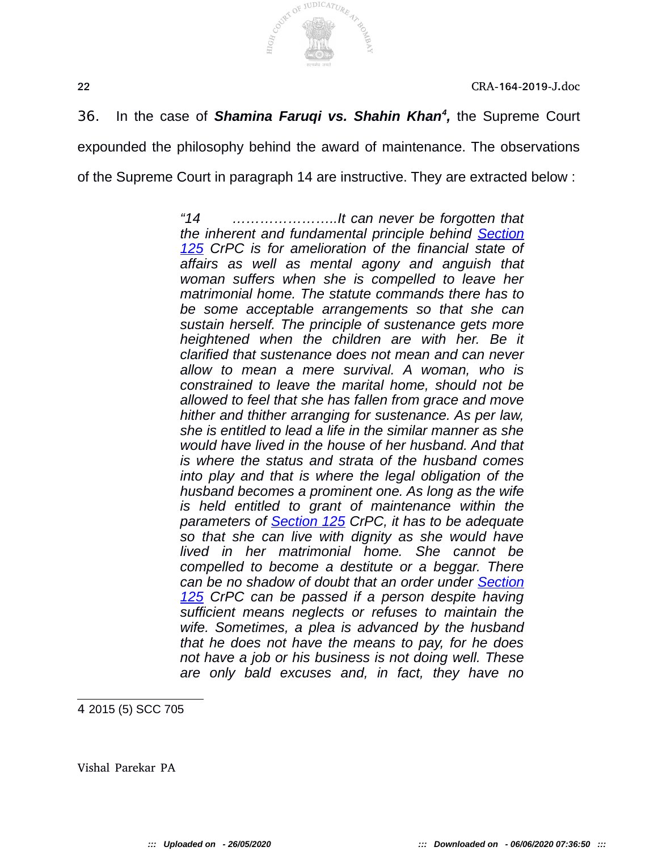



36. In the case of *Shamina Faruqi vs. Shahin Khan<sup>4</sup>*, the Supreme Court expounded the philosophy behind the award of maintenance. The observations of the Supreme Court in paragraph 14 are instructive. They are extracted below :

> *"14 …………………..It can never be forgotten that the inherent and fundamental principle behind Section 125 CrPC is for amelioration of the financial state of affairs as well as mental agony and anguish that woman suffers when she is compelled to leave her matrimonial home. The statute commands there has to be some acceptable arrangements so that she can sustain herself. The principle of sustenance gets more heightened when the children are with her. Be it clarified that sustenance does not mean and can never allow to mean a mere survival. A woman, who is constrained to leave the marital home, should not be allowed to feel that she has fallen from grace and move hither and thither arranging for sustenance. As per law, she is entitled to lead a life in the similar manner as she would have lived in the house of her husband. And that is where the status and strata of the husband comes into play and that is where the legal obligation of the husband becomes a prominent one. As long as the wife is held entitled to grant of maintenance within the parameters of Section 125 CrPC, it has to be adequate so that she can live with dignity as she would have lived in her matrimonial home. She cannot be compelled to become a destitute or a beggar. There can be no shadow of doubt that an order under Section 125 CrPC can be passed if a person despite having sufficient means neglects or refuses to maintain the wife. Sometimes, a plea is advanced by the husband that he does not have the means to pay, for he does not have a job or his business is not doing well. These are only bald excuses and, in fact, they have no*

4 2015 (5) SCC 705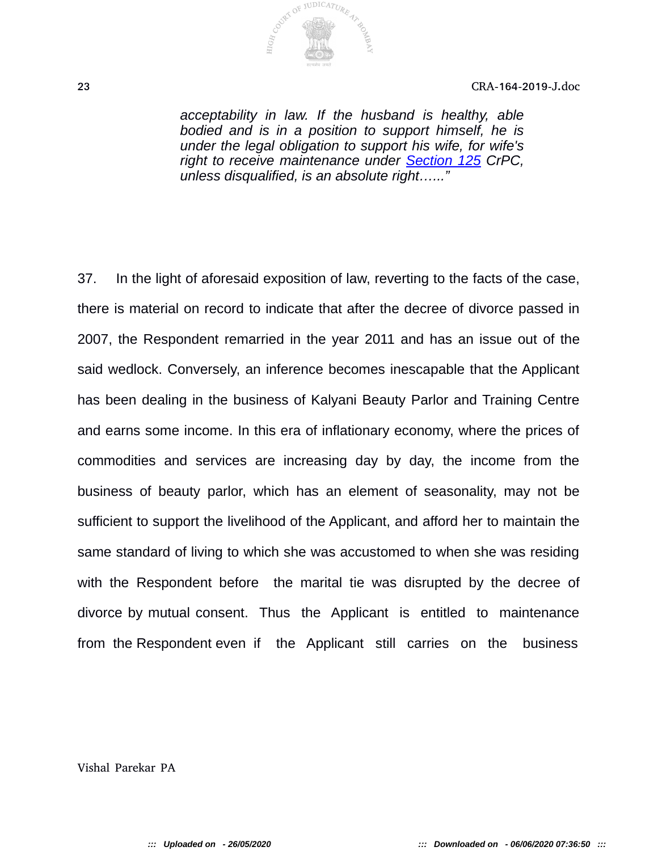

*acceptability in law. If the husband is healthy, able bodied and is in a position to support himself, he is under the legal obligation to support his wife, for wife's right to receive maintenance under Section 125 CrPC, unless disqualified, is an absolute right…..."*

37. In the light of aforesaid exposition of law, reverting to the facts of the case, there is material on record to indicate that after the decree of divorce passed in 2007, the Respondent remarried in the year 2011 and has an issue out of the said wedlock. Conversely, an inference becomes inescapable that the Applicant has been dealing in the business of Kalyani Beauty Parlor and Training Centre and earns some income. In this era of inflationary economy, where the prices of commodities and services are increasing day by day, the income from the business of beauty parlor, which has an element of seasonality, may not be sufficient to support the livelihood of the Applicant, and afford her to maintain the same standard of living to which she was accustomed to when she was residing with the Respondent before the marital tie was disrupted by the decree of divorce by mutual consent. Thus the Applicant is entitled to maintenance from the Respondent even if the Applicant still carries on the business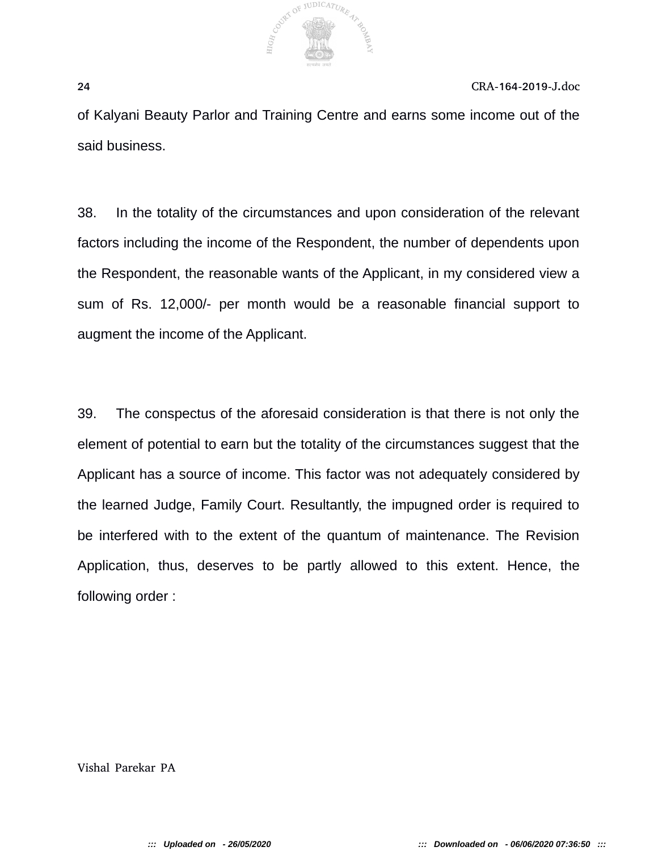

of Kalyani Beauty Parlor and Training Centre and earns some income out of the said business.

38. In the totality of the circumstances and upon consideration of the relevant factors including the income of the Respondent, the number of dependents upon the Respondent, the reasonable wants of the Applicant, in my considered view a sum of Rs. 12,000/- per month would be a reasonable financial support to augment the income of the Applicant.

39. The conspectus of the aforesaid consideration is that there is not only the element of potential to earn but the totality of the circumstances suggest that the Applicant has a source of income. This factor was not adequately considered by the learned Judge, Family Court. Resultantly, the impugned order is required to be interfered with to the extent of the quantum of maintenance. The Revision Application, thus, deserves to be partly allowed to this extent. Hence, the following order :